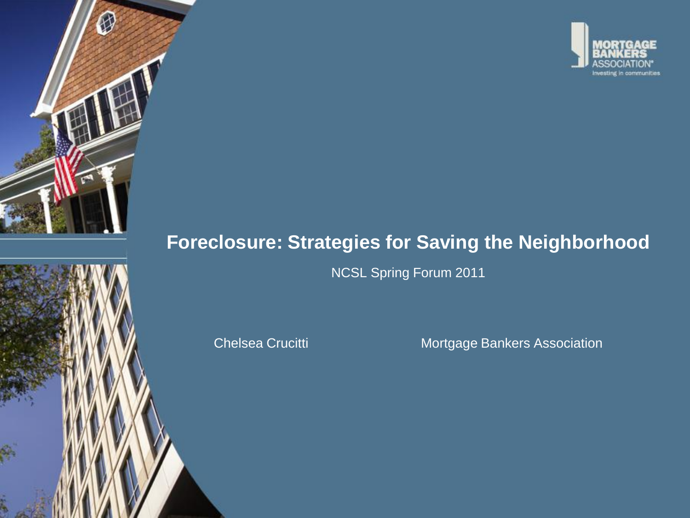

# **Foreclosure: Strategies for Saving the Neighborhood**

NCSL Spring Forum 2011

Chelsea Crucitti Mortgage Bankers Association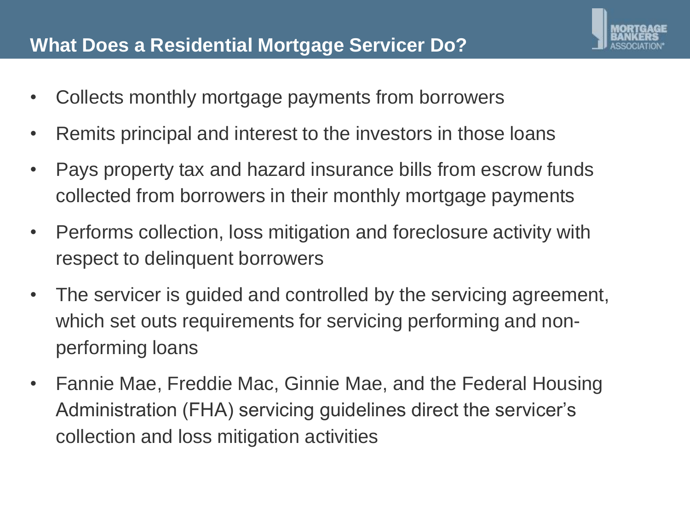### **What Does a Residential Mortgage Servicer Do?**

- Collects monthly mortgage payments from borrowers
- Remits principal and interest to the investors in those loans
- Pays property tax and hazard insurance bills from escrow funds collected from borrowers in their monthly mortgage payments
- Performs collection, loss mitigation and foreclosure activity with respect to delinquent borrowers
- The servicer is guided and controlled by the servicing agreement, which set outs requirements for servicing performing and nonperforming loans
- Fannie Mae, Freddie Mac, Ginnie Mae, and the Federal Housing Administration (FHA) servicing guidelines direct the servicer's collection and loss mitigation activities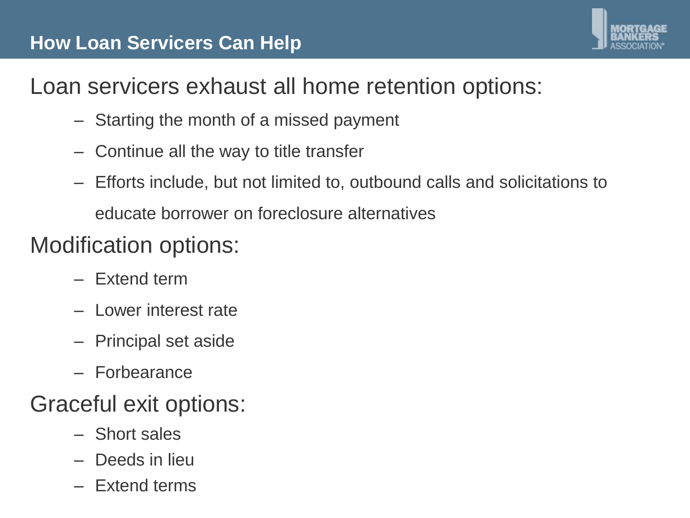## **How Loan Servicers Can Help**



# Loan servicers exhaust all home retention options:

- Starting the month of a missed payment
- Continue all the way to title transfer
- Efforts include, but not limited to, outbound calls and solicitations to educate borrower on foreclosure alternatives

# Modification options:

- Extend term
- Lower interest rate
- Principal set aside
- Forbearance

# Graceful exit options:

- Short sales
- Deeds in lieu
- Extend terms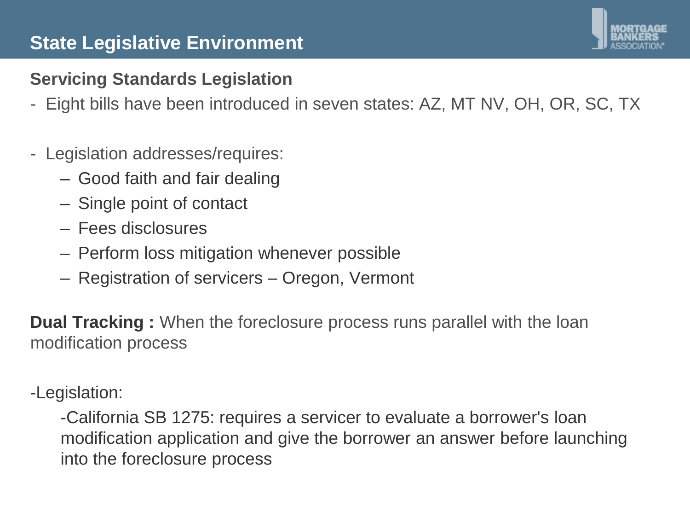### **State Legislative Environment**

### **Servicing Standards Legislation**

- Eight bills have been introduced in seven states: AZ, MT NV, OH, OR, SC, TX

#### - Legislation addresses/requires:

- Good faith and fair dealing
- Single point of contact
- Fees disclosures
- Perform loss mitigation whenever possible
- Registration of servicers Oregon, Vermont

**Dual Tracking :** When the foreclosure process runs parallel with the loan modification process

-Legislation:

-California SB 1275: requires a servicer to evaluate a borrower's loan modification application and give the borrower an answer before launching into the foreclosure process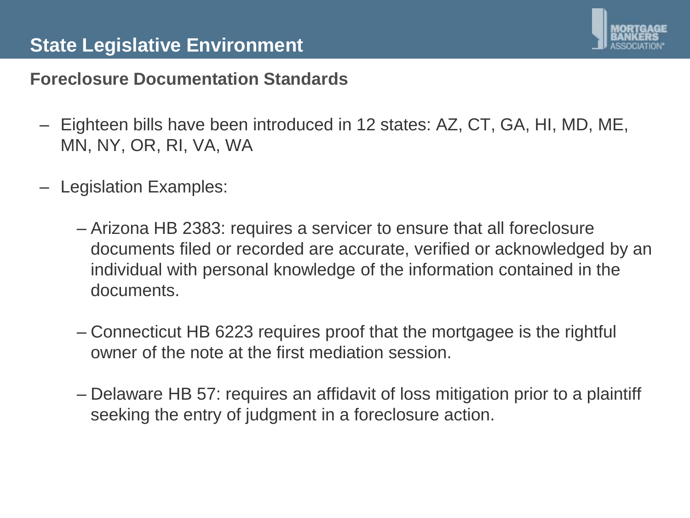

### **Foreclosure Documentation Standards**

- Eighteen bills have been introduced in 12 states: AZ, CT, GA, HI, MD, ME, MN, NY, OR, RI, VA, WA
- Legislation Examples:
	- Arizona HB 2383: requires a servicer to ensure that all foreclosure documents filed or recorded are accurate, verified or acknowledged by an individual with personal knowledge of the information contained in the documents.
	- Connecticut HB 6223 requires proof that the mortgagee is the rightful owner of the note at the first mediation session.
	- Delaware HB 57: requires an affidavit of loss mitigation prior to a plaintiff seeking the entry of judgment in a foreclosure action.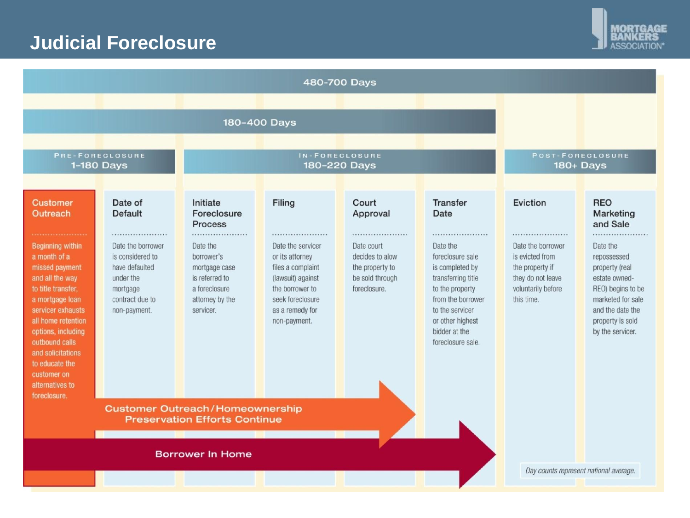## **Judicial Foreclosure**



|                                                                                                                                                                                                                                                                                                   |                                                                                                                         |                                                                                                            |                                                                                                                                                              | 480-700 Days                                                                            |                                                                                                                                                                                                |                                                                                                                      |                                                                                                                                                                      |
|---------------------------------------------------------------------------------------------------------------------------------------------------------------------------------------------------------------------------------------------------------------------------------------------------|-------------------------------------------------------------------------------------------------------------------------|------------------------------------------------------------------------------------------------------------|--------------------------------------------------------------------------------------------------------------------------------------------------------------|-----------------------------------------------------------------------------------------|------------------------------------------------------------------------------------------------------------------------------------------------------------------------------------------------|----------------------------------------------------------------------------------------------------------------------|----------------------------------------------------------------------------------------------------------------------------------------------------------------------|
|                                                                                                                                                                                                                                                                                                   |                                                                                                                         |                                                                                                            | 180-400 Days                                                                                                                                                 |                                                                                         |                                                                                                                                                                                                |                                                                                                                      |                                                                                                                                                                      |
| PRE-FORECLOSURE<br>1-180 Days                                                                                                                                                                                                                                                                     |                                                                                                                         | IN-FORECLOSURE<br>180-220 Days                                                                             |                                                                                                                                                              |                                                                                         |                                                                                                                                                                                                | POST-FORECLOSURE<br>180+ Days                                                                                        |                                                                                                                                                                      |
| <b>Customer</b><br>Outreach                                                                                                                                                                                                                                                                       | Date of<br><b>Default</b>                                                                                               | Initiate<br>Foreclosure<br><b>Process</b>                                                                  | Filing                                                                                                                                                       | Court<br>Approval                                                                       | <b>Transfer</b><br>Date                                                                                                                                                                        | Eviction                                                                                                             | <b>REO</b><br>Marketing<br>and Sale                                                                                                                                  |
| <b>Beginning within</b><br>a month of a<br>missed payment<br>and all the way<br>to title transfer,<br>a mortgage loan<br>servicer exhausts<br>all home retention<br>options, including<br>outbound calls<br>and solicitations<br>to educate the<br>customer on<br>alternatives to<br>foreclosure. | <br>Date the borrower<br>is considered to<br>have defaulted<br>under the<br>mortgage<br>contract due to<br>non-payment. | Date the<br>borrower's<br>mortgage case<br>is referred to<br>a foreclosure<br>attorney by the<br>servicer. | <br>Date the servicer<br>or its attorney<br>files a complaint<br>(lawsuit) against<br>the borrower to<br>seek foreclosure<br>as a remedy for<br>non-payment. | <br>Date court<br>decides to alow<br>the property to<br>be sold through<br>foreclosure. | <br>Date the<br>foreclosure sale<br>is completed by<br>transferring title<br>to the property<br>from the borrower<br>to the servicer<br>or other highest<br>bidder at the<br>foreclosure sale. | <br>Date the borrower<br>is evicted from<br>the property if<br>they do not leave<br>voluntarily before<br>this time. | <br>Date the<br>repossessed<br>property (real<br>estate owned-<br>REO) begins to be<br>marketed for sale<br>and the date the<br>property is sold<br>by the servicer. |
|                                                                                                                                                                                                                                                                                                   |                                                                                                                         | <b>Customer Outreach/Homeownership</b><br><b>Preservation Efforts Continue</b><br><b>Borrower In Home</b>  |                                                                                                                                                              |                                                                                         |                                                                                                                                                                                                |                                                                                                                      |                                                                                                                                                                      |
|                                                                                                                                                                                                                                                                                                   |                                                                                                                         |                                                                                                            |                                                                                                                                                              |                                                                                         |                                                                                                                                                                                                | Day counts represent national average.                                                                               |                                                                                                                                                                      |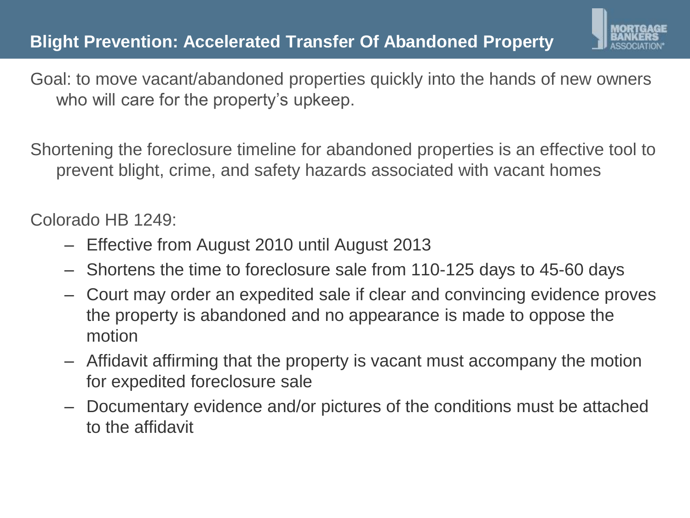

Goal: to move vacant/abandoned properties quickly into the hands of new owners who will care for the property's upkeep.

Shortening the foreclosure timeline for abandoned properties is an effective tool to prevent blight, crime, and safety hazards associated with vacant homes

Colorado HB 1249:

- Effective from August 2010 until August 2013
- Shortens the time to foreclosure sale from 110-125 days to 45-60 days
- Court may order an expedited sale if clear and convincing evidence proves the property is abandoned and no appearance is made to oppose the motion
- Affidavit affirming that the property is vacant must accompany the motion for expedited foreclosure sale
- Documentary evidence and/or pictures of the conditions must be attached to the affidavit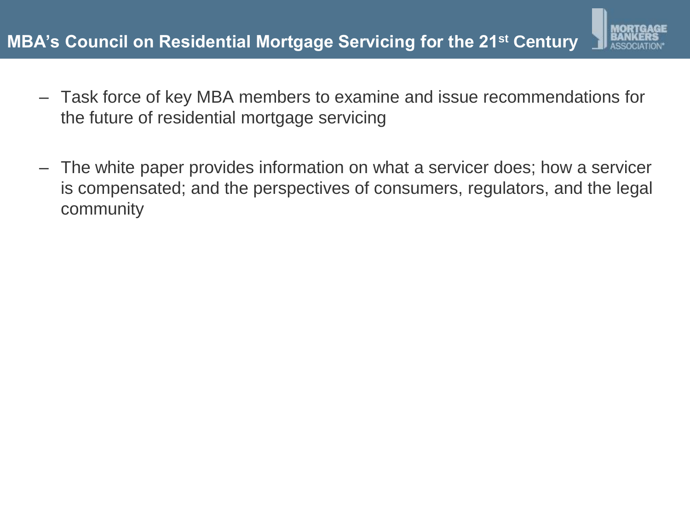

- Task force of key MBA members to examine and issue recommendations for the future of residential mortgage servicing
- The white paper provides information on what a servicer does; how a servicer is compensated; and the perspectives of consumers, regulators, and the legal community